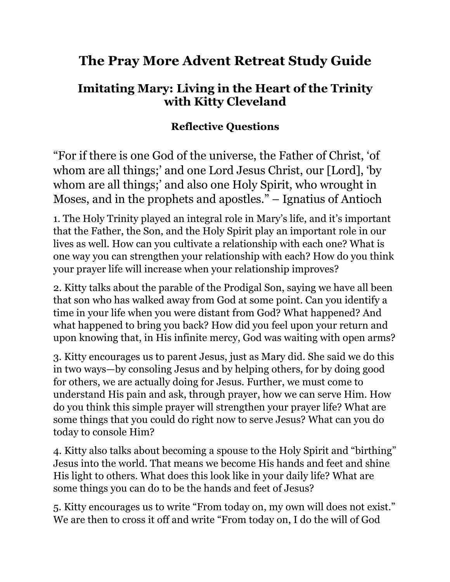## **The Pray More Advent Retreat Study Guide**

## **Imitating Mary: Living in the Heart of the Trinity with Kitty Cleveland**

## **Reflective Questions**

"For if there is one God of the universe, the Father of Christ, 'of whom are all things;' and one Lord Jesus Christ, our [Lord], 'by whom are all things;' and also one Holy Spirit, who wrought in Moses, and in the prophets and apostles." – Ignatius of Antioch

1. The Holy Trinity played an integral role in Mary's life, and it's important that the Father, the Son, and the Holy Spirit play an important role in our lives as well. How can you cultivate a relationship with each one? What is one way you can strengthen your relationship with each? How do you think your prayer life will increase when your relationship improves?

2. Kitty talks about the parable of the Prodigal Son, saying we have all been that son who has walked away from God at some point. Can you identify a time in your life when you were distant from God? What happened? And what happened to bring you back? How did you feel upon your return and upon knowing that, in His infinite mercy, God was waiting with open arms?

3. Kitty encourages us to parent Jesus, just as Mary did. She said we do this in two ways—by consoling Jesus and by helping others, for by doing good for others, we are actually doing for Jesus. Further, we must come to understand His pain and ask, through prayer, how we can serve Him. How do you think this simple prayer will strengthen your prayer life? What are some things that you could do right now to serve Jesus? What can you do today to console Him?

4. Kitty also talks about becoming a spouse to the Holy Spirit and "birthing" Jesus into the world. That means we become His hands and feet and shine His light to others. What does this look like in your daily life? What are some things you can do to be the hands and feet of Jesus?

5. Kitty encourages us to write "From today on, my own will does not exist." We are then to cross it off and write "From today on, I do the will of God